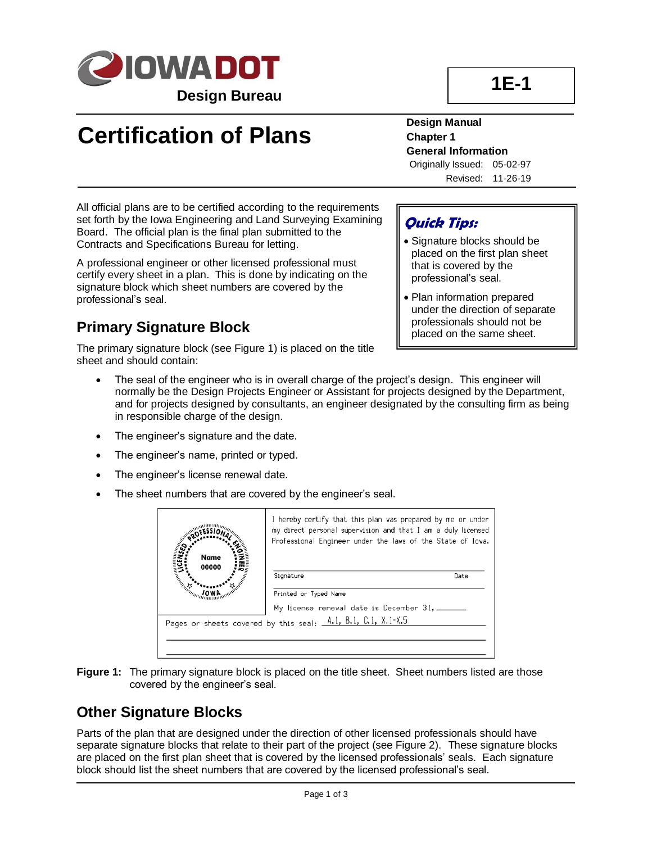

# **Certification of Plans**

**Design Manual Chapter 1 General Information** Originally Issued: 05-02-97

Revised: 11-26-19

**1E-1**

All official plans are to be certified according to the requirements set forth by the Iowa Engineering and Land Surveying Examining Board. The official plan is the final plan submitted to the Contracts and Specifications Bureau for letting.

A professional engineer or other licensed professional must certify every sheet in a plan. This is done by indicating on the signature block which sheet numbers are covered by the professional's seal.

### **Primary Signature Block**

The primary signature block (see Figure 1) is placed on the title sheet and should contain:

#### **Quick Tips:**

- Signature blocks should be placed on the first plan sheet that is covered by the professional's seal.
- Plan information prepared under the direction of separate professionals should not be placed on the same sheet.
- The seal of the engineer who is in overall charge of the project's design. This engineer will normally be the Design Projects Engineer or Assistant for projects designed by the Department, and for projects designed by consultants, an engineer designated by the consulting firm as being in responsible charge of the design.
- The engineer's signature and the date.
- The engineer's name, printed or typed.
- The engineer's license renewal date.
- The sheet numbers that are covered by the engineer's seal.

| Name                                                         | I hereby certify that this plan was prepared by me or under<br>my direct personal supervision and that I am a duly licensed<br>Professional Engineer under the laws of the State of Iowa. |      |  |
|--------------------------------------------------------------|-------------------------------------------------------------------------------------------------------------------------------------------------------------------------------------------|------|--|
| 00000<br><b>Chamberland</b>                                  | Signature                                                                                                                                                                                 | Date |  |
|                                                              | Printed or Typed Name                                                                                                                                                                     |      |  |
|                                                              | My license renewal date is December 31,                                                                                                                                                   |      |  |
| Pages or sheets covered by this seal: A.1, B.1, C.1, X.1-X.5 |                                                                                                                                                                                           |      |  |
|                                                              |                                                                                                                                                                                           |      |  |
|                                                              |                                                                                                                                                                                           |      |  |

**Figure 1:** The primary signature block is placed on the title sheet. Sheet numbers listed are those covered by the engineer's seal.

#### **Other Signature Blocks**

Parts of the plan that are designed under the direction of other licensed professionals should have separate signature blocks that relate to their part of the project (see Figure 2). These signature blocks are placed on the first plan sheet that is covered by the licensed professionals' seals. Each signature block should list the sheet numbers that are covered by the licensed professional's seal.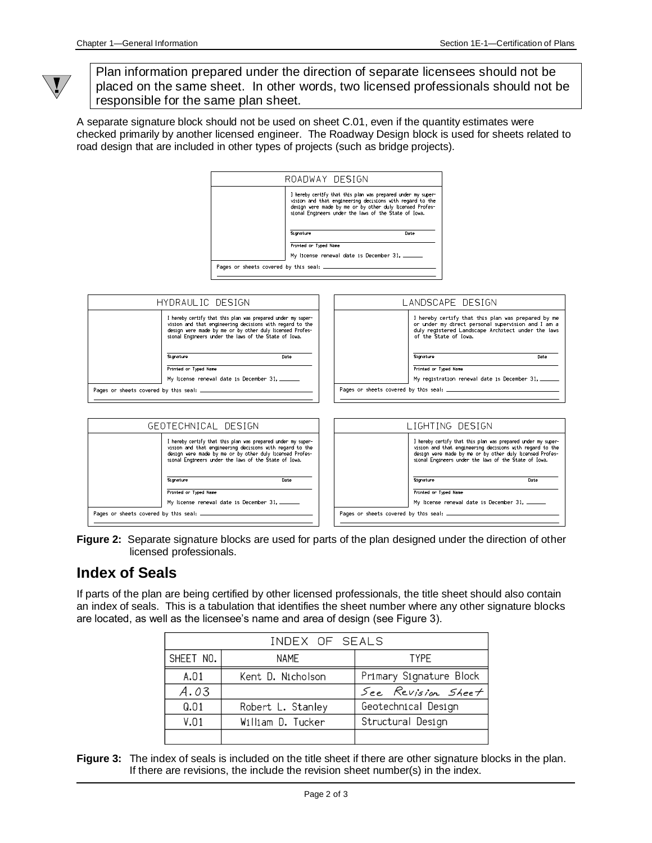

Plan information prepared under the direction of separate licensees should not be placed on the same sheet. In other words, two licensed professionals should not be responsible for the same plan sheet.

A separate signature block should not be used on sheet C.01, even if the quantity estimates were checked primarily by another licensed engineer. The Roadway Design block is used for sheets related to road design that are included in other types of projects (such as bridge projects).



**Figure 2:** Separate signature blocks are used for parts of the plan designed under the direction of other licensed professionals.

#### **Index of Seals**

If parts of the plan are being certified by other licensed professionals, the title sheet should also contain an index of seals. This is a tabulation that identifies the sheet number where any other signature blocks are located, as well as the licensee's name and area of design (see Figure 3).

| INDEX OF SEALS |                   |                         |  |
|----------------|-------------------|-------------------------|--|
| SHEET NO.      | <b>NAME</b>       | <b>TYPF</b>             |  |
| A.01           | Kent D. Nicholson | Primary Signature Block |  |
| A.03           |                   | See Revision Sheet      |  |
| Q.01           | Robert L. Stanley | Geotechnical Design     |  |
| V.01           | William D. Tucker | Structural Design       |  |
|                |                   |                         |  |

**Figure 3:** The index of seals is included on the title sheet if there are other signature blocks in the plan. If there are revisions, the include the revision sheet number(s) in the index.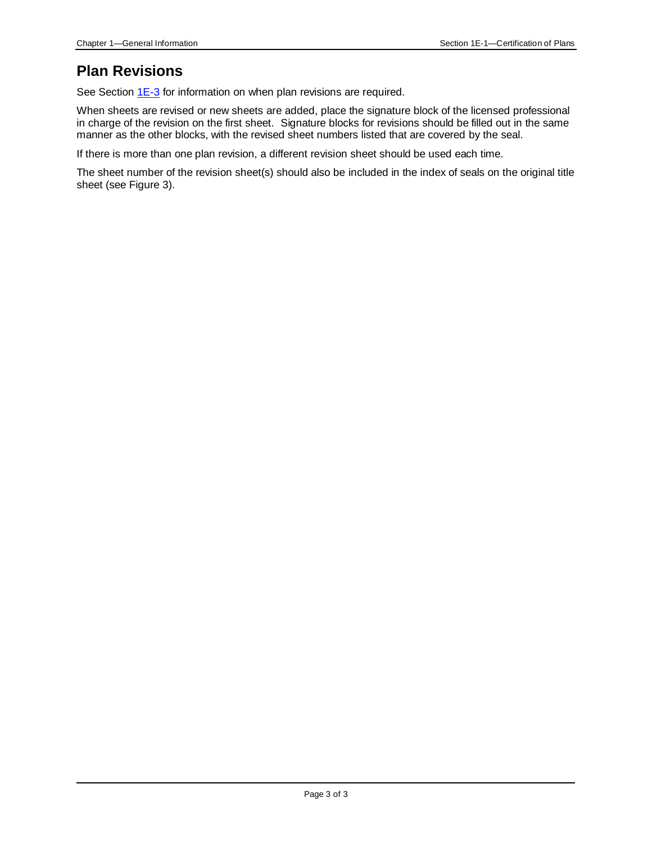#### **Plan Revisions**

See Section [1E-3](01e-03.pdf) for information on when plan revisions are required.

When sheets are revised or new sheets are added, place the signature block of the licensed professional in charge of the revision on the first sheet. Signature blocks for revisions should be filled out in the same manner as the other blocks, with the revised sheet numbers listed that are covered by the seal.

If there is more than one plan revision, a different revision sheet should be used each time.

The sheet number of the revision sheet(s) should also be included in the index of seals on the original title sheet (see Figure 3).